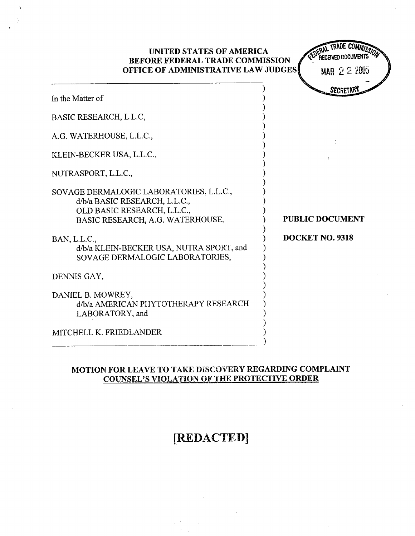| UNITED STATES OF AMERICA<br><b>BEFORE FEDERAL TRADE COMMISSION</b><br>OFFICE OF ADMINISTRATIVE LAW JUDGES                                   | RECEIVED DOCUMENTS<br>MAR 2 2 2005 |
|---------------------------------------------------------------------------------------------------------------------------------------------|------------------------------------|
| In the Matter of                                                                                                                            | <b>SECRETARY</b>                   |
| BASIC RESEARCH, L.L.C,                                                                                                                      |                                    |
| A.G. WATERHOUSE, L.L.C.,                                                                                                                    |                                    |
| KLEIN-BECKER USA, L.L.C.,                                                                                                                   |                                    |
| NUTRASPORT, L.L.C.,                                                                                                                         |                                    |
| SOVAGE DERMALOGIC LABORATORIES, L.L.C.,<br>d/b/a BASIC RESEARCH, L.L.C.,<br>OLD BASIC RESEARCH, L.L.C.,<br>BASIC RESEARCH, A.G. WATERHOUSE, | <b>PUBLIC DOCUMENT</b>             |
| BAN, L.L.C.,<br>d/b/a KLEIN-BECKER USA, NUTRA SPORT, and<br>SOVAGE DERMALOGIC LABORATORIES,                                                 | DOCKET NO. 9318                    |
| DENNIS GAY,                                                                                                                                 |                                    |
| DANIEL B. MOWREY,<br>d/b/a AMERICAN PHYTOTHERAPY RESEARCH<br>LABORATORY, and                                                                |                                    |
| MITCHELL K. FRIEDLANDER                                                                                                                     |                                    |

## MOTION FOR LEAVE TO TAKE DiSCOVERY REGARDING COMPLAINT COUNSEL'S VIOLATION OF THE PROTECTIVE ORDER

## [REDACTED]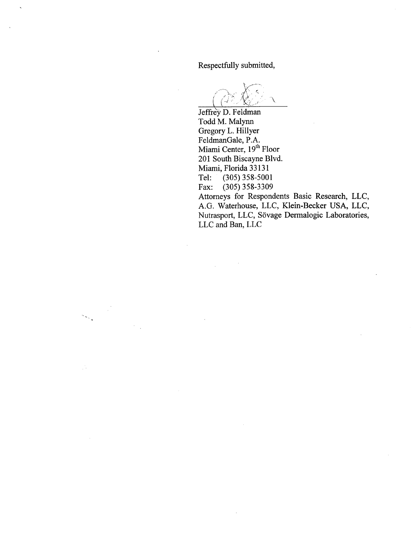Respectfully submitted

Jeffrey D. Feldman Todd M. Malyn Gregory L. Hilyer FeldmanGale, P. Miami Center, 19<sup>th</sup> Floor 201 South Biscayne Blvd. Miami, Florida 33131 Tel: (305) 358-5001<br>Fax: (305) 358-3309 (305) 358-3309

Attorneys for Respondents Basic Research, LLC A.G. Waterhouse, LLC, Klein-Becker USA, LLC Nutrasport, LLC, Sövage Dermalogic Laboratories, LLC and Ban, LLC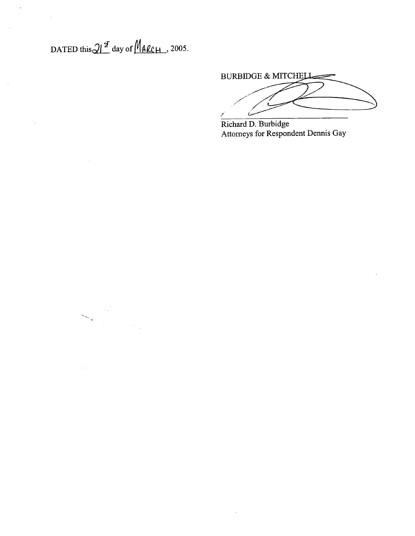DATED this  $21^{\frac{q}{2}}$  day of  $M_{\text{ALCH}}$ , 2005.

 $\sim$ 

**BURBIDGE & MITCHELL** 

Richard D. Burbidge Attorneys for Respondent Dennis Gay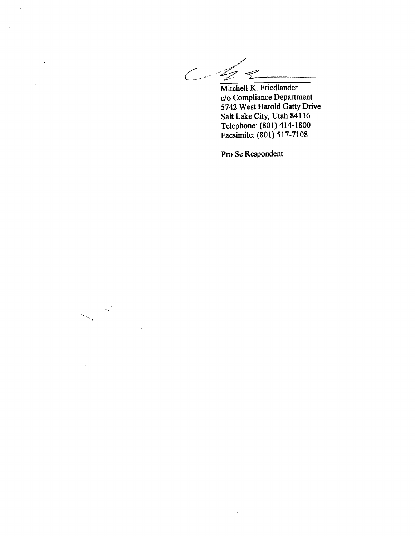Z

Mitchell K. Friedlander c/o Compliance Deparment 5742 West Harold Gatty Drive Salt Lake City, Utah 84116 Telephone: (801) 414-1800 Facsimile: (801) 517-71 08

Pro Se Respondent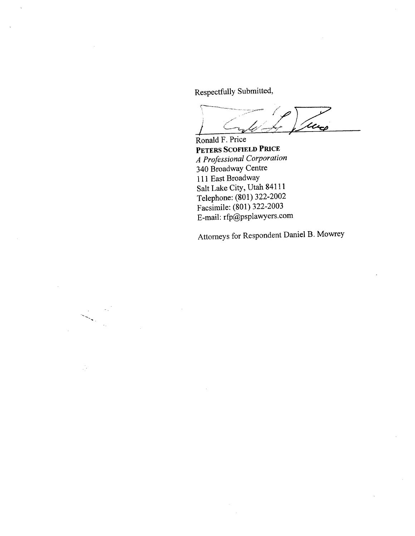Respectfully Submitted

Ronald F. Price Utico

PETERS SCOFIELD PRICE A Professional Corporation 340 Broadway Centre 111 East Broadway Salt Lake City, Utah 84111 Telephone: (801) 322-2002 Facsimile: (801) 322-2003 E-mail: rfp@psplawyers.com

Attorneys for Respondent Daniel B. Mowrey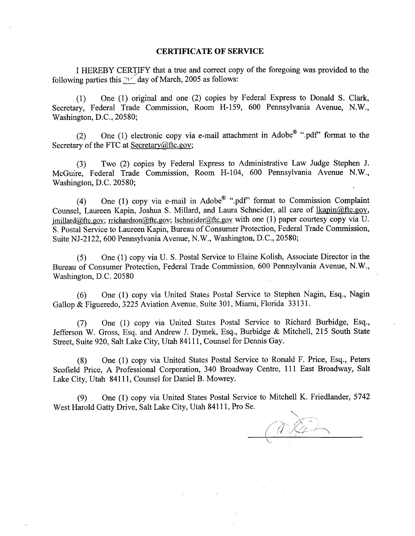## CERTIFICATE OF SERVICE

I HEREBY CERT)FY that a true and correct copy of the foregoing was provided to the following parties this  $2\sqrt{16}$  day of March, 2005 as follows:

(1) One (1) original and one (2) copies by Federal Express to Donald S. Clark Secretary, Federal Trade Commission, Room H-159, 600 Pennsylvania Avenue, N.W., Washington, D.C., 20580;

(2) One (1) electronic copy via e-mail attachment in Adobe $^{\circledR}$  " pdf" format to the Secretary of the FTC at Secretary@ftc.gov;

(3) Two (2) copies by Federal Express to Administrative Law Judge Stephen J. McGuire, Federal Trade Commission, Room H-I04, 600 Pennsylvania Avenue N. Washington, D.C. 20580;

(4) One (1) copy via e-mail in Adobe<sup>®</sup> ".pdf" format to Commission Complaint Counsel, Laureen Kapin, Joshua S. Millard, and Laura Schneider, all care of lkapin@ftc.gov,  $imillard@ftc.gov$ ; rrichardson@ftc.gov; Ischneider@ftc.gov with one (1) paper courtesy copy via U. S. Postal Service to Laureen Kapin, Bureau of Consumer Protection, Federal Trade Commission Suite NJ-2122, 600 Pennsylvania Avenue, N.W., Washington, D.C., 20580;

(5) One (1) copy via U. S. Postal Service to Elaine Kolish, Associate Director in the Bureau of Consumer Protection, Federal Trade Commission, 600 Pennsylvania Avenue, N. Washington, D.C. 20580

(6) One (1) copy via United States Postal Service to Stephen Nagin, Esq. , Nagin Gallop & Figueredo, 3225 Aviation Avenue, Suite 301, Miami, Florida 33131.

(7) One (1) copy via United States Postal Service to Richard Burbidge, Esq. Jefferson W. Gross, Esq. and Andrew J. Dymek, Esq., Burbidge & Mitchell, 215 South State Street, Suite 920, Salt Lake City, Utah 84111 , Counsel for Dennis Gay.

(8) One (1) copy via United States Postal Service to Ronald F. Price, Esq., Peters Scofield Price, A Professional Corporation, 340 Broadway Centre, 111 East Broadway, Salt Lake City, Utah 84111, Counsel for Daniel B. Mowrey.

(9) One (1) copy via United States Postal Service to Mitchell K. Friedlander, 5742 West Harold Gatty Drive, Salt Lake City, Utah 84111 , Pro Se.

 $R_{\mathcal{L}}$